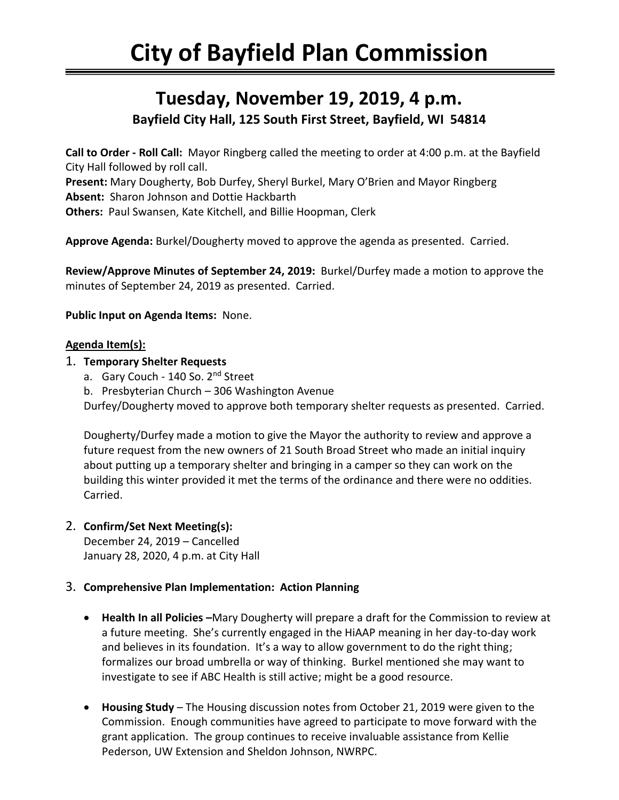## **Tuesday, November 19, 2019, 4 p.m. Bayfield City Hall, 125 South First Street, Bayfield, WI 54814**

**Call to Order - Roll Call:** Mayor Ringberg called the meeting to order at 4:00 p.m. at the Bayfield City Hall followed by roll call.

**Present:** Mary Dougherty, Bob Durfey, Sheryl Burkel, Mary O'Brien and Mayor Ringberg **Absent:** Sharon Johnson and Dottie Hackbarth

**Others:** Paul Swansen, Kate Kitchell, and Billie Hoopman, Clerk

**Approve Agenda:** Burkel/Dougherty moved to approve the agenda as presented. Carried.

**Review/Approve Minutes of September 24, 2019:** Burkel/Durfey made a motion to approve the minutes of September 24, 2019 as presented. Carried.

**Public Input on Agenda Items:** None.

## **Agenda Item(s):**

- 1. **Temporary Shelter Requests**
	- a. Gary Couch 140 So. 2<sup>nd</sup> Street
	- b. Presbyterian Church 306 Washington Avenue

Durfey/Dougherty moved to approve both temporary shelter requests as presented. Carried.

Dougherty/Durfey made a motion to give the Mayor the authority to review and approve a future request from the new owners of 21 South Broad Street who made an initial inquiry about putting up a temporary shelter and bringing in a camper so they can work on the building this winter provided it met the terms of the ordinance and there were no oddities. Carried.

## 2. **Confirm/Set Next Meeting(s):**

December 24, 2019 – Cancelled January 28, 2020, 4 p.m. at City Hall

## 3. **Comprehensive Plan Implementation: Action Planning**

- **Health In all Policies –**Mary Dougherty will prepare a draft for the Commission to review at a future meeting. She's currently engaged in the HiAAP meaning in her day-to-day work and believes in its foundation. It's a way to allow government to do the right thing; formalizes our broad umbrella or way of thinking. Burkel mentioned she may want to investigate to see if ABC Health is still active; might be a good resource.
- **Housing Study** The Housing discussion notes from October 21, 2019 were given to the Commission. Enough communities have agreed to participate to move forward with the grant application. The group continues to receive invaluable assistance from Kellie Pederson, UW Extension and Sheldon Johnson, NWRPC.